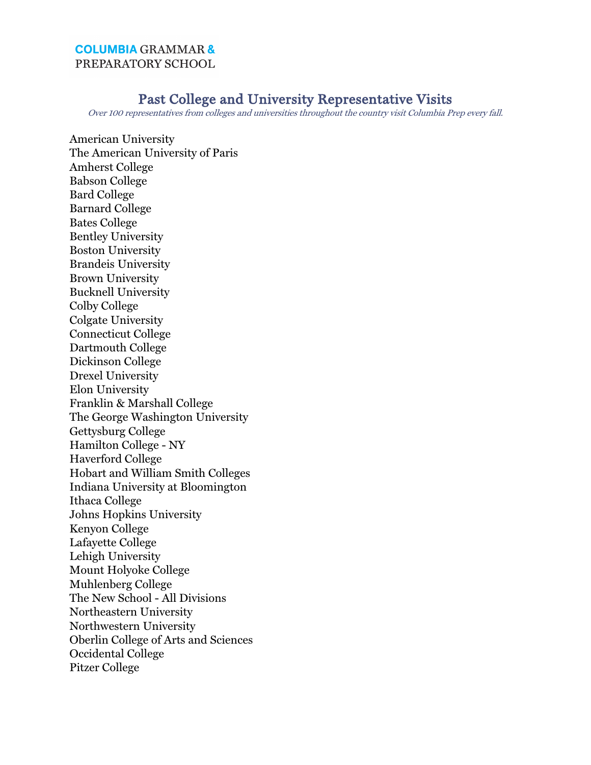## **COLUMBIA GRAMMAR &** PREPARATORY SCHOOL

## Past College and University Representative Visits

Over 100 representatives from colleges and universities throughout the country visit Columbia Prep every fall.

American University The American University of Paris Amherst College Babson College Bard College Barnard College Bates College Bentley University Boston University Brandeis University Brown University Bucknell University Colby College Colgate University Connecticut College Dartmouth College Dickinson College Drexel University Elon University Franklin & Marshall College The George Washington University Gettysburg College Hamilton College - NY Haverford College Hobart and William Smith Colleges Indiana University at Bloomington Ithaca College Johns Hopkins University Kenyon College Lafayette College Lehigh University Mount Holyoke College Muhlenberg College The New School - All Divisions Northeastern University Northwestern University Oberlin College of Arts and Sciences Occidental College Pitzer College